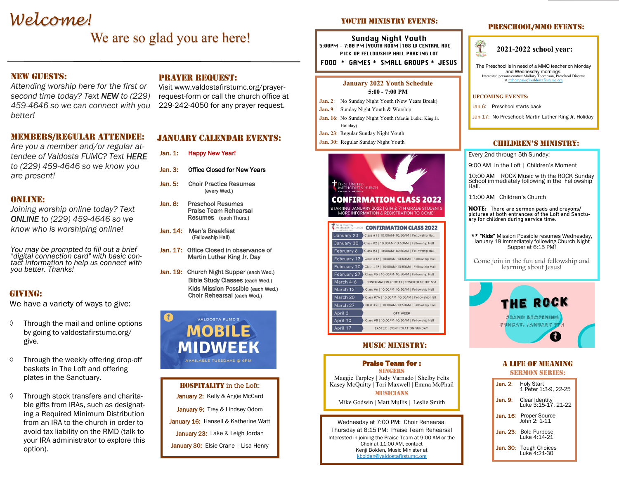# *Welcome!*

## We are so glad you are here!

### **NEW GUESTS:**

*Attending worship here for the first or second time today? Text NEW to (229) 459-4646 so we can connect with you better!*

### Members/regular attendee:

*Are you a member and/or regular attendee of Valdosta FUMC? Text HERE to (229) 459-4646 so we know you are present!*

### ONLINE:

*Joining worship online today? Text ONLINE to (229) 459-4646 so we know who is worshiping online!*

*You may be prompted to fill out a brief "digital connection card" with basic contact information to help us connect with you better. Thanks!* 

### GIVING:

We have a variety of ways to give:

- $\Diamond$  Through the mail and online options by going to valdostafirstumc.org/ give.
- Through the weekly offering drop-off baskets in The Loft and offering plates in the Sanctuary.
- $\Diamond$  Through stock transfers and charitable gifts from IRAs, such as designating a Required Minimum Distribution from an IRA to the church in order to avoid tax liability on the RMD (talk to your IRA administrator to explore this option).

### Prayer Request:

Visit www.valdostafirstumc.org/prayerrequest-form or call the church office at 229-242-4050 for any prayer request.

### January calendar Events:

- Jan. 1: Happy New Year!
- Jan. 3: Office Closed for New Years
- Jan. 5: Choir Practice Resumes (every Wed.)
- Jan. 6: Preschool Resumes Praise Team Rehearsal Resumes (each Thurs.)
- Jan. 14: Men's Breakfast (Fellowship Hall)
- Jan. 17: Office Closed in observance of Martin Luther King Jr. Day
- Jan. 19: Church Night Supper (each Wed.) Bible Study Classes (each Wed.) Kids Mission Possible (each Wed.) Choir Rehearsal (each Wed.)

### VALDOSTA FUMC'S **MOBILE** MIDWEEK AVAILABLE TUESDAYS @ 6PM

HOSPITALITY in the Loft: January 2: Kelly & Angie McCard January 9: Trey & Lindsey Odom January 16: Hansell & Katherine Watt January 23: Lake & Leigh Jordan January 30: Elsie Crane | Lisa Henry

### YOUTH MINISTRY EVENTS:

Sunday Night Youth 5:00PM - 7:00 PM |YOUTH ROOM |108 W CENTRAL AVE PICK UP FELLOWSHIP HALL PARKING LOT

FOOD \* GAMES \* SMALL GROUPS \* JESUS

#### **January 2022 Youth Schedule 5:00 - 7:00 PM**

- **Jan. 2**: No Sunday Night Youth (New Years Break)
- **Jan. 9**: Sunday Night Youth & Worship
- **Jan. 16**: No Sunday Night Youth (Martin Luther King Jr. Holiday)
- **Jan. 23**: Regular Sunday Night Youth
- **Jan. 30:** Regular Sunday Night Youth



| METHODIST CHURCH | <b>CONFIRMATION CLASS 2022</b>                |
|------------------|-----------------------------------------------|
| January 23       | Class #1   10:00AM-10:50AM   Fellowship Hall  |
| January 30       | Class #2   10:00AM-10:50AM   Fellowship Hall  |
| February 6       | Class #3   10:00AM-10:50AM   Fellowship Hall  |
| February 13      | Class #4A   10:00AM-10:50AM   Fellowship Hall |
| February 20      | Class #4B   10:00AM-10:50AM   Fellowship Hall |
| February 27      | Class #5   10:00AM-10:50AM   Fellowship Hall  |
| March 4-6        | CONFIRMATION RETREAT   EPWORTH BY THE SEA     |
| March 13         | Class #6   10:00AM-10:50AM   Fellowship Hall  |
| March 20         | Class #7A   10:00AM-10:50AM   Fellowship Hall |
| March 27         | Class #7B   10:00AM-10:50AM   Fellowship Hall |
| April 3          | <b>OFF WEEK</b>                               |
| April 10         | Class #8   10:00AM-10:50AM   Fellowship Hall  |
| April 17         | EASTER   CONFIRMATION SUNDAY                  |

#### Music ministry:

| <b>Praise Team for:</b>                      |
|----------------------------------------------|
| <b>SINGERS</b>                               |
| Maggie Tarpley   Judy Varnado   Shelby Felts |
| Kasey McQuitty   Tori Maxwell   Emma McPhail |
| <b>MUSICIANS</b>                             |

Mike Godwin | Matt Mullis | Leslie Smith

Wednesday at 7:00 PM: Choir Rehearsal Thursday at 6:15 PM: Praise Team Rehearsal Interested in joining the Praise Team at 9:00 AM or the Choir at 11:00 AM, contact Kenji Bolden, Music Minister at kbolden@valdostafirstumc.org

### PRESCHOOL/MMO EVENTS:



The Preschool is in need of a MMO teacher on Monday and Wednesday mornings. Interested persons contact Mallory Thompson, Preschool Director at mthompson $@$ 

#### **UPCOMING EVENTS:**

Jan 6: Preschool starts back

Jan 17: No Preschool: Martin Luther King Jr. Holiday

### children's ministry:

Every 2nd through 5th Sunday:

9:00 AM in the Loft | Children's Moment

10:00 AM ROCK Music with the ROCK Sunday School immediately following in the Fellowship Hall.

11:00 AM Children's Church

**NOTE:** There are sermon pads and crayons/ pictures at both entrances of the Loft and Sanctuary for children during service time.

\*\* "Kids" Mission Possible resumes Wednesday, January 19 immediately following Church Night Supper at 6:15 PM!

Come join in the fun and fellowship and learning about Jesus!



### A Life of Meaning Sermon series:

| Jan. $2:$ | <b>Holy Start</b><br>1 Peter 1:3-9, 22-25     |
|-----------|-----------------------------------------------|
| Jan. 9:   | Clear Identity<br>Luke 3:15-17, 21-22         |
|           | Jan. 16: Proper Source<br>Iohn 2: 1-11        |
|           | Jan. 23: Bold Purpose<br>Luke 4:14-21         |
|           | <b>Jan. 30:</b> Tough Choices<br>Luke 4:21-30 |